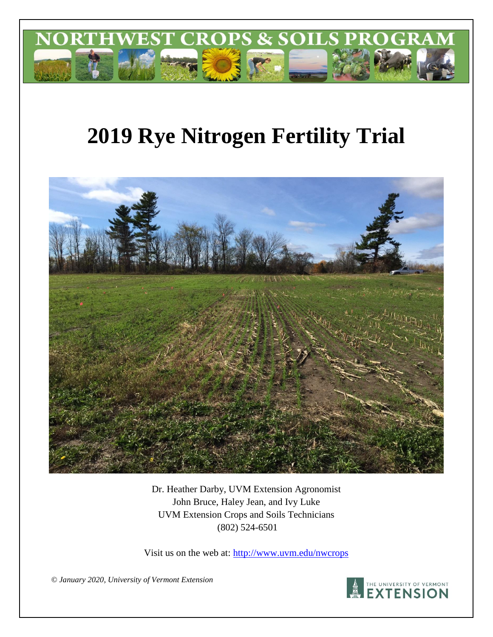

# **2019 Rye Nitrogen Fertility Trial**



Dr. Heather Darby, UVM Extension Agronomist John Bruce, Haley Jean, and Ivy Luke UVM Extension Crops and Soils Technicians (802) 524-6501

Visit us on the web at: http://www.uvm.edu/nwcrops

*© January 2020, University of Vermont Extension*

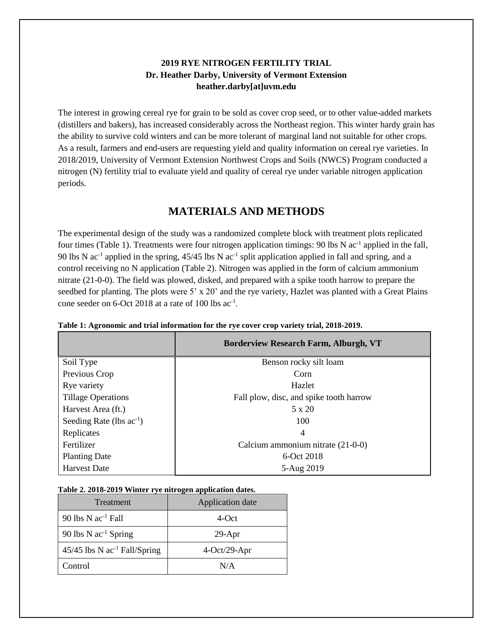## **2019 RYE NITROGEN FERTILITY TRIAL Dr. Heather Darby, University of Vermont Extension heather.darby[at]uvm.edu**

The interest in growing cereal rye for grain to be sold as cover crop seed, or to other value-added markets (distillers and bakers), has increased considerably across the Northeast region. This winter hardy grain has the ability to survive cold winters and can be more tolerant of marginal land not suitable for other crops. As a result, farmers and end-users are requesting yield and quality information on cereal rye varieties. In 2018/2019, University of Vermont Extension Northwest Crops and Soils (NWCS) Program conducted a nitrogen (N) fertility trial to evaluate yield and quality of cereal rye under variable nitrogen application periods.

# **MATERIALS AND METHODS**

The experimental design of the study was a randomized complete block with treatment plots replicated four times (Table 1). Treatments were four nitrogen application timings: 90 lbs N ac<sup>-1</sup> applied in the fall, 90 lbs N  $ac^{-1}$  applied in the spring, 45/45 lbs N  $ac^{-1}$  split application applied in fall and spring, and a control receiving no N application (Table 2). Nitrogen was applied in the form of calcium ammonium nitrate (21-0-0). The field was plowed, disked, and prepared with a spike tooth harrow to prepare the seedbed for planting. The plots were 5' x 20' and the rye variety, Hazlet was planted with a Great Plains cone seeder on 6-Oct 2018 at a rate of 100 lbs ac<sup>-1</sup>.

|                               | <b>Borderview Research Farm, Alburgh, VT</b> |
|-------------------------------|----------------------------------------------|
| Soil Type                     | Benson rocky silt loam                       |
| Previous Crop                 | Corn                                         |
| Rye variety                   | Hazlet                                       |
| <b>Tillage Operations</b>     | Fall plow, disc, and spike tooth harrow      |
| Harvest Area (ft.)            | $5 \times 20$                                |
| Seeding Rate (lbs $ac^{-1}$ ) | 100                                          |
| Replicates                    | 4                                            |
| Fertilizer                    | Calcium ammonium nitrate (21-0-0)            |
| <b>Planting Date</b>          | 6-Oct 2018                                   |
| <b>Harvest Date</b>           | 5-Aug 2019                                   |

| Table 1: Agronomic and trial information for the rye cover crop variety trial, 2018-2019. |  |  |
|-------------------------------------------------------------------------------------------|--|--|
|                                                                                           |  |  |

|  | Table 2. 2018-2019 Winter rye nitrogen application dates. |  |
|--|-----------------------------------------------------------|--|
|  |                                                           |  |

| Treatment                                  | Application date |
|--------------------------------------------|------------------|
| 90 lbs $N$ ac <sup>-1</sup> Fall           | 4-Oct            |
| 90 lbs $N$ ac <sup>-1</sup> Spring         | $29-Apr$         |
| $45/45$ lbs N ac <sup>-1</sup> Fall/Spring | $4-Oct/29-Apr$   |
| Control                                    | N/A              |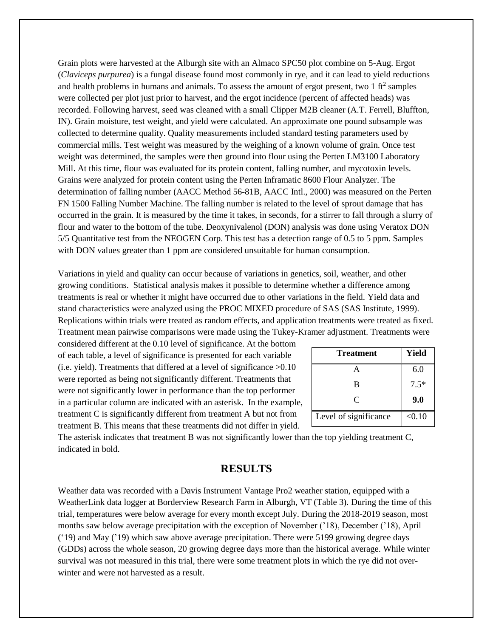Grain plots were harvested at the Alburgh site with an Almaco SPC50 plot combine on 5-Aug. Ergot (*Claviceps purpurea*) is a fungal disease found most commonly in rye, and it can lead to yield reductions and health problems in humans and animals. To assess the amount of ergot present, two  $1 \text{ ft}^2$  samples were collected per plot just prior to harvest, and the ergot incidence (percent of affected heads) was recorded. Following harvest, seed was cleaned with a small Clipper M2B cleaner (A.T. Ferrell, Bluffton, IN). Grain moisture, test weight, and yield were calculated. An approximate one pound subsample was collected to determine quality. Quality measurements included standard testing parameters used by commercial mills. Test weight was measured by the weighing of a known volume of grain. Once test weight was determined, the samples were then ground into flour using the Perten LM3100 Laboratory Mill. At this time, flour was evaluated for its protein content, falling number, and mycotoxin levels. Grains were analyzed for protein content using the Perten Inframatic 8600 Flour Analyzer. The determination of falling number (AACC Method 56-81B, AACC Intl., 2000) was measured on the Perten FN 1500 Falling Number Machine. The falling number is related to the level of sprout damage that has occurred in the grain. It is measured by the time it takes, in seconds, for a stirrer to fall through a slurry of flour and water to the bottom of the tube. Deoxynivalenol (DON) analysis was done using Veratox DON 5/5 Quantitative test from the NEOGEN Corp. This test has a detection range of 0.5 to 5 ppm. Samples with DON values greater than 1 ppm are considered unsuitable for human consumption.

Variations in yield and quality can occur because of variations in genetics, soil, weather, and other growing conditions. Statistical analysis makes it possible to determine whether a difference among treatments is real or whether it might have occurred due to other variations in the field. Yield data and stand characteristics were analyzed using the PROC MIXED procedure of SAS (SAS Institute, 1999). Replications within trials were treated as random effects, and application treatments were treated as fixed. Treatment mean pairwise comparisons were made using the Tukey-Kramer adjustment. Treatments were

considered different at the 0.10 level of significance. At the bottom of each table, a level of significance is presented for each variable (i.e. yield). Treatments that differed at a level of significance >0.10 were reported as being not significantly different. Treatments that were not significantly lower in performance than the top performer in a particular column are indicated with an asterisk. In the example, treatment C is significantly different from treatment A but not from treatment B. This means that these treatments did not differ in yield.

| <b>Treatment</b>      | <b>Yield</b> |
|-----------------------|--------------|
|                       | 6.0          |
| B                     | $7.5*$       |
| C                     | 9.0          |
| Level of significance | < 0.10       |

The asterisk indicates that treatment B was not significantly lower than the top yielding treatment C, indicated in bold.

## **RESULTS**

Weather data was recorded with a Davis Instrument Vantage Pro2 weather station, equipped with a WeatherLink data logger at Borderview Research Farm in Alburgh, VT (Table 3). During the time of this trial, temperatures were below average for every month except July. During the 2018-2019 season, most months saw below average precipitation with the exception of November ('18), December ('18), April ('19) and May ('19) which saw above average precipitation. There were 5199 growing degree days (GDDs) across the whole season, 20 growing degree days more than the historical average. While winter survival was not measured in this trial, there were some treatment plots in which the rye did not overwinter and were not harvested as a result.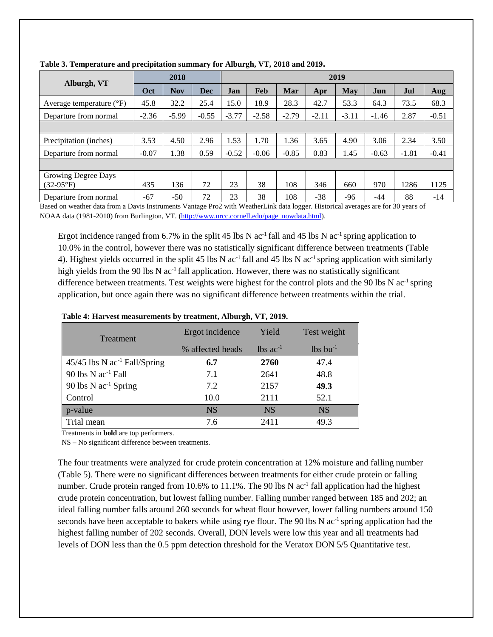|                                   | 2018    |            |         | 2019    |         |         |         |         |         |         |         |
|-----------------------------------|---------|------------|---------|---------|---------|---------|---------|---------|---------|---------|---------|
| Alburgh, VT                       | Oct     | <b>Nov</b> | Dec     | Jan     | Feb     | Mar     | Apr     | May     | Jun     | Jul     | Aug     |
| Average temperature $(^{\circ}F)$ | 45.8    | 32.2       | 25.4    | 15.0    | 18.9    | 28.3    | 42.7    | 53.3    | 64.3    | 73.5    | 68.3    |
| Departure from normal             | $-2.36$ | $-5.99$    | $-0.55$ | $-3.77$ | $-2.58$ | $-2.79$ | $-2.11$ | $-3.11$ | $-1.46$ | 2.87    | $-0.51$ |
|                                   |         |            |         |         |         |         |         |         |         |         |         |
| Precipitation (inches)            | 3.53    | 4.50       | 2.96    | 1.53    | 1.70    | l.36    | 3.65    | 4.90    | 3.06    | 2.34    | 3.50    |
| Departure from normal             | $-0.07$ | 1.38       | 0.59    | $-0.52$ | $-0.06$ | $-0.85$ | 0.83    | 1.45    | $-0.63$ | $-1.81$ | $-0.41$ |
|                                   |         |            |         |         |         |         |         |         |         |         |         |
| Growing Degree Days               |         |            |         |         |         |         |         |         |         |         |         |
| $(32-95^{\circ}F)$                | 435     | 136        | 72      | 23      | 38      | 108     | 346     | 660     | 970     | 1286    | 1125    |
| Departure from normal             | $-67$   | $-50$      | 72      | 23      | 38      | 108     | $-38$   | -96     | -44     | 88      | $-14$   |

**Table 3. Temperature and precipitation summary for Alburgh, VT, 2018 and 2019.**

Based on weather data from a Davis Instruments Vantage Pro2 with WeatherLink data logger. Historical averages are for 30 years of NOAA data (1981-2010) from Burlington, VT. [\(http://www.nrcc.cornell.edu/page\\_nowdata.html\)](http://www.nrcc.cornell.edu/page_nowdata.html).

Ergot incidence ranged from 6.7% in the split 45 lbs N  $ac^{-1}$  fall and 45 lbs N  $ac^{-1}$  spring application to 10.0% in the control, however there was no statistically significant difference between treatments (Table 4). Highest yields occurred in the split 45 lbs N  $ac^{-1}$  fall and 45 lbs N  $ac^{-1}$  spring application with similarly high yields from the 90 lbs N  $ac^{-1}$  fall application. However, there was no statistically significant difference between treatments. Test weights were highest for the control plots and the 90 lbs N ac<sup>-1</sup> spring application, but once again there was no significant difference between treatments within the trial.

| <b>Treatment</b>                           | Ergot incidence  | Yield                  | Test weight            |
|--------------------------------------------|------------------|------------------------|------------------------|
|                                            | % affected heads | $lbs$ ac <sup>-1</sup> | $lbs$ bu <sup>-1</sup> |
| $45/45$ lbs N ac <sup>-1</sup> Fall/Spring | 6.7              | 2760                   | 47.4                   |
| 90 lbs $N$ ac <sup>-1</sup> Fall           | 7.1              | 2641                   | 48.8                   |
| 90 lbs $N$ ac <sup>-1</sup> Spring         | 7.2              | 2157                   | 49.3                   |
| Control                                    | 10.0             | 2111                   | 52.1                   |
| p-value                                    | <b>NS</b>        | <b>NS</b>              | <b>NS</b>              |
| Trial mean                                 | 7.6              | 2411                   | 49.3                   |

#### **Table 4: Harvest measurements by treatment, Alburgh, VT, 2019.**

Treatments in **bold** are top performers.

NS – No significant difference between treatments.

The four treatments were analyzed for crude protein concentration at 12% moisture and falling number (Table 5). There were no significant differences between treatments for either crude protein or falling number. Crude protein ranged from 10.6% to 11.1%. The 90 lbs N ac<sup>-1</sup> fall application had the highest crude protein concentration, but lowest falling number. Falling number ranged between 185 and 202; an ideal falling number falls around 260 seconds for wheat flour however, lower falling numbers around 150 seconds have been acceptable to bakers while using rye flour. The 90 lbs N ac<sup>-1</sup> spring application had the highest falling number of 202 seconds. Overall, DON levels were low this year and all treatments had levels of DON less than the 0.5 ppm detection threshold for the Veratox DON 5/5 Quantitative test.